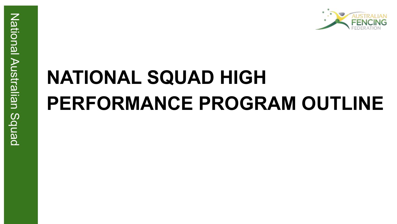# National Australian Squad National Australian Squad

# **NATIONAL SQUAD HIGH PERFORMANCE PROGRAM OUTLINE**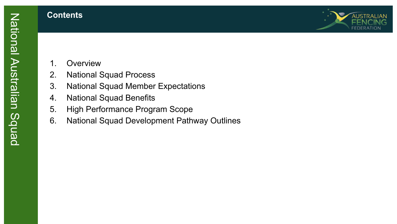#### **Contents**



- 1. Overview
- 2. National Squad Process
- 3. National Squad Member Expectations
- 4. National Squad Benefits
- 5. High Performance Program Scope
- 6. National Squad Development Pathway Outlines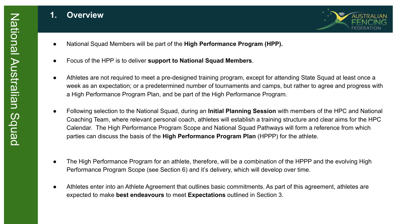#### **1. Overview**



- National Squad Members will be part of the **High Performance Program (HPP).**
- Focus of the HPP is to deliver **support to National Squad Members**.
- Athletes are not required to meet a pre-designed training program, except for attending State Squad at least once a week as an expectation; or a predetermined number of tournaments and camps, but rather to agree and progress with a High Performance Program Plan, and be part of the High Performance Program.
- Following selection to the National Squad, during an **Initial Planning Session** with members of the HPC and National Coaching Team, where relevant personal coach, athletes will establish a training structure and clear aims for the HPC Calendar. The High Performance Program Scope and National Squad Pathways will form a reference from which parties can discuss the basis of the **High Performance Program Plan** (HPPP) for the athlete.
- The High Performance Program for an athlete, therefore, will be a combination of the HPPP and the evolving High Performance Program Scope (see Section 6) and it's delivery, which will develop over time.
- Athletes enter into an Athlete Agreement that outlines basic commitments. As part of this agreement, athletes are expected to make **best endeavours** to meet **Expectations** outlined in Section 3.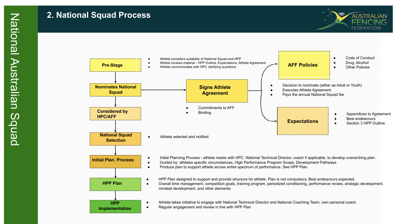#### **2. National Squad Process**



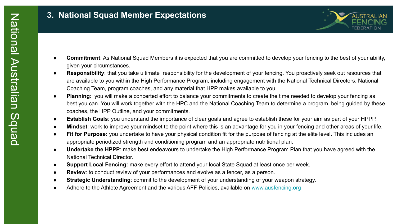#### **3. National Squad Member Expectations**



- **Commitment**: As National Squad Members it is expected that you are committed to develop your fencing to the best of your ability, given your circumstances.
- **Responsibility**: that you take ultimate responsibility for the development of your fencing. You proactively seek out resources that are available to you within the High Performance Program, including engagement with the National Technical Directors, National Coaching Team, program coaches, and any material that HPP makes available to you.
- Planning: you will make a concerted effort to balance your commitments to create the time needed to develop your fencing as best you can. You will work together with the HPC and the National Coaching Team to determine a program, being guided by these coaches, the HPP Outline, and your commitments.
- **Establish Goals**: you understand the importance of clear goals and agree to establish these for your aim as part of your HPPP.
- **Mindset**: work to improve your mindset to the point where this is an advantage for you in your fencing and other areas of your life.
- **Fit for Purpose:** you undertake to have your physical condition fit for the purpose of fencing at the elite level. This includes an appropriate periodized strength and conditioning program and an appropriate nutritional plan.
- **Undertake the HPPP**: make best endeavours to undertake the High Performance Program Plan that you have agreed with the National Technical Director.
- **Support Local Fencing:** make every effort to attend your local State Squad at least once per week.
- **Review**: to conduct review of your performances and evolve as a fencer, as a person.
- **Strategic Understanding**: commit to the development of your understanding of your weapon strategy.
- Adhere to the Athlete Agreement and the various AFF Policies, available on [www.ausfencing.org](http://www.ausfencing.org)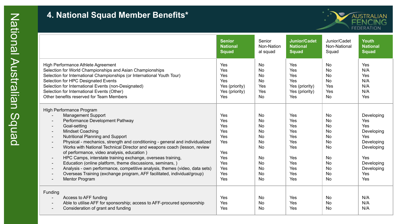# **4. National Squad Member Benefits\***



|                                                                                                                                                                                                                                                                                                                                                                                                                                                                                                                                                                                                                                                                                                                               | <b>Senior</b>                                                                    | Senior                                                                                    | <b>Junior/Cadet</b>                                                              | Junior/Cadet                                                                                            | Youth                                                                                                                      |
|-------------------------------------------------------------------------------------------------------------------------------------------------------------------------------------------------------------------------------------------------------------------------------------------------------------------------------------------------------------------------------------------------------------------------------------------------------------------------------------------------------------------------------------------------------------------------------------------------------------------------------------------------------------------------------------------------------------------------------|----------------------------------------------------------------------------------|-------------------------------------------------------------------------------------------|----------------------------------------------------------------------------------|---------------------------------------------------------------------------------------------------------|----------------------------------------------------------------------------------------------------------------------------|
|                                                                                                                                                                                                                                                                                                                                                                                                                                                                                                                                                                                                                                                                                                                               | <b>National</b>                                                                  | Non-Nation                                                                                | <b>National</b>                                                                  | Non-National                                                                                            | <b>National</b>                                                                                                            |
|                                                                                                                                                                                                                                                                                                                                                                                                                                                                                                                                                                                                                                                                                                                               | <b>Squad</b>                                                                     | al squad                                                                                  | <b>Squad</b>                                                                     | Squad                                                                                                   | <b>Squad</b>                                                                                                               |
| High Performance Athlete Agreement                                                                                                                                                                                                                                                                                                                                                                                                                                                                                                                                                                                                                                                                                            | Yes                                                                              | <b>No</b>                                                                                 | Yes                                                                              | No                                                                                                      | Yes                                                                                                                        |
| Selection for World Championships and Asian Championships                                                                                                                                                                                                                                                                                                                                                                                                                                                                                                                                                                                                                                                                     | Yes                                                                              | No                                                                                        | Yes                                                                              | <b>No</b>                                                                                               | N/A                                                                                                                        |
| Selection for International Championships (or International Youth Tour)                                                                                                                                                                                                                                                                                                                                                                                                                                                                                                                                                                                                                                                       | Yes                                                                              | No                                                                                        | Yes                                                                              | <b>No</b>                                                                                               | Yes                                                                                                                        |
| Selection for HPC Designated Events                                                                                                                                                                                                                                                                                                                                                                                                                                                                                                                                                                                                                                                                                           | Yes                                                                              | <b>No</b>                                                                                 | Yes                                                                              | <b>No</b>                                                                                               | N/A                                                                                                                        |
| Selection for International Events (non-Designated)                                                                                                                                                                                                                                                                                                                                                                                                                                                                                                                                                                                                                                                                           | Yes (priority)                                                                   | Yes                                                                                       | Yes (priority)                                                                   | Yes                                                                                                     | N/A                                                                                                                        |
| Selection for International Events (Other)                                                                                                                                                                                                                                                                                                                                                                                                                                                                                                                                                                                                                                                                                    | Yes (priority)                                                                   | Yes                                                                                       | Yes (priority)                                                                   | Yes                                                                                                     | N/A                                                                                                                        |
| Other benefits reserved for Team Members                                                                                                                                                                                                                                                                                                                                                                                                                                                                                                                                                                                                                                                                                      | Yes                                                                              | No                                                                                        | Yes                                                                              | <b>No</b>                                                                                               | Yes                                                                                                                        |
| High Performance Program<br><b>Management Support</b><br>Performance Development Pathway<br>Goal-setting<br><b>Mindset Coaching</b><br>Nutritional Planning and Support<br>$\overline{\phantom{a}}$<br>Physical - mechanics, strength and conditioning - general and individualized<br>Works with National Technical Director and weapons coach (lesson, review<br>of performance, video analysis, education)<br>HPC Camps, interstate training exchange, overseas training,<br>Education (online platform, theme discussions, seminars, )<br>Analysis - own performance, competitive analysis, themes (video, data sets)<br>Overseas Training (exchange program, AFF facilitated, individual/group)<br><b>Mentor Program</b> | Yes<br>Yes<br>Yes<br>Yes<br>Yes<br>Yes<br>Yes<br>Yes<br>Yes<br>Yes<br>Yes<br>Yes | No<br>No<br>No<br>No<br><b>No</b><br><b>No</b><br>No<br>No<br>No<br>No<br><b>No</b><br>No | Yes<br>Yes<br>Yes<br>Yes<br>Yes<br>Yes<br>Yes<br>Yes<br>Yes<br>Yes<br>Yes<br>Yes | No<br>No<br>No<br><b>No</b><br><b>No</b><br>No<br><b>No</b><br>No<br>No<br>No<br><b>No</b><br><b>No</b> | Developing<br>Yes<br>Yes<br>Developing<br>Yes<br>Developing<br>Developing<br>Yes<br>Developing<br>Developing<br>Yes<br>Yes |
| Funding<br>Access to AFF funding<br>Able to utilise AFF for sponsorship; access to AFF-procured sponsorship<br>Consideration of grant and funding                                                                                                                                                                                                                                                                                                                                                                                                                                                                                                                                                                             | Yes<br>Yes<br>Yes                                                                | No<br>No<br>No                                                                            | Yes<br>Yes<br>Yes                                                                | No<br>No<br><b>No</b>                                                                                   | N/A<br>N/A<br>N/A                                                                                                          |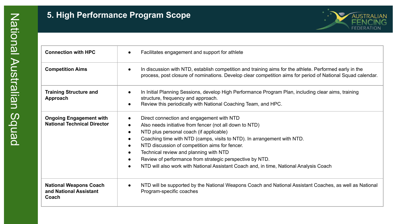# **5. High Performance Program Scope**



| <b>Connection with HPC</b>                                           | Facilitates engagement and support for athlete                                                                                                                                                                                                                                                                                                                                                                                                                                                                      |
|----------------------------------------------------------------------|---------------------------------------------------------------------------------------------------------------------------------------------------------------------------------------------------------------------------------------------------------------------------------------------------------------------------------------------------------------------------------------------------------------------------------------------------------------------------------------------------------------------|
| <b>Competition Aims</b>                                              | In discussion with NTD, establish competition and training aims for the athlete. Performed early in the<br>$\bullet$<br>process, post closure of nominations. Develop clear competition aims for period of National Squad calendar.                                                                                                                                                                                                                                                                                 |
| <b>Training Structure and</b><br>Approach                            | In Initial Planning Sessions, develop High Performance Program Plan, including clear aims, training<br>structure, frequency and approach.<br>Review this periodically with National Coaching Team, and HPC.                                                                                                                                                                                                                                                                                                         |
| <b>Ongoing Engagement with</b><br><b>National Technical Director</b> | Direct connection and engagement with NTD<br>Also needs initiative from fencer (not all down to NTD)<br>$\bullet$<br>NTD plus personal coach (if applicable)<br>Coaching time with NTD (camps, visits to NTD). In arrangement with NTD.<br>NTD discussion of competition aims for fencer.<br>$\bullet$<br>Technical review and planning with NTD<br>$\bullet$<br>Review of performance from strategic perspective by NTD.<br>NTD will also work with National Assistant Coach and, in time, National Analysis Coach |
| <b>National Weapons Coach</b><br>and National Assistant<br>Coach     | NTD will be supported by the National Weapons Coach and National Assistant Coaches, as well as National<br>Program-specific coaches                                                                                                                                                                                                                                                                                                                                                                                 |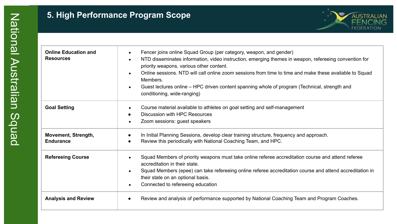# **5. High Performance Program Scope**



| <b>Online Education and</b><br><b>Resources</b> | Fencer joins online Squad Group (per category, weapon, and gender)<br>$\bullet$<br>NTD disseminates information, video instruction, emerging themes in weapon, refereeing convention for<br>$\bullet$<br>priority weapons, various other content.<br>Online sessions. NTD will call online zoom sessions from time to time and make these available to Squad<br>$\bullet$<br>Members.<br>Guest lectures online – HPC driven content spanning whole of program (Technical, strength and<br>$\bullet$<br>conditioning, wide-ranging) |
|-------------------------------------------------|------------------------------------------------------------------------------------------------------------------------------------------------------------------------------------------------------------------------------------------------------------------------------------------------------------------------------------------------------------------------------------------------------------------------------------------------------------------------------------------------------------------------------------|
| <b>Goal Setting</b>                             | Course material available to athletes on goal setting and self-management<br>$\bullet$<br>Discussion with HPC Resources<br>Zoom sessions: guest speakers<br>$\bullet$                                                                                                                                                                                                                                                                                                                                                              |
| Movement, Strength,<br><b>Endurance</b>         | In Initial Planning Sessions, develop clear training structure, frequency and approach.<br>$\bullet$<br>Review this periodically with National Coaching Team, and HPC.                                                                                                                                                                                                                                                                                                                                                             |
| <b>Refereeing Course</b>                        | Squad Members of priority weapons must take online referee accreditation course and attend referee<br>$\bullet$<br>accreditation in their state.<br>Squad Members (epee) can take refereeing online referee accreditation course and attend accreditation in<br>$\bullet$<br>their state on an optional basis.<br>Connected to refereeing education<br>$\bullet$                                                                                                                                                                   |
| <b>Analysis and Review</b>                      | Review and analysis of performance supported by National Coaching Team and Program Coaches.                                                                                                                                                                                                                                                                                                                                                                                                                                        |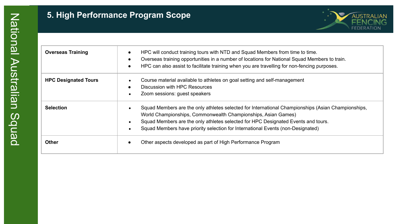# **5. High Performance Program Scope**



| <b>Overseas Training</b>    | HPC will conduct training tours with NTD and Squad Members from time to time.<br>Overseas training opportunities in a number of locations for National Squad Members to train.<br>HPC can also assist to facilitate training when you are travelling for non-fencing purposes.                                                              |
|-----------------------------|---------------------------------------------------------------------------------------------------------------------------------------------------------------------------------------------------------------------------------------------------------------------------------------------------------------------------------------------|
| <b>HPC Designated Tours</b> | Course material available to athletes on goal setting and self-management<br>Discussion with HPC Resources<br>Zoom sessions: guest speakers                                                                                                                                                                                                 |
| <b>Selection</b>            | Squad Members are the only athletes selected for International Championships (Asian Championships,<br>World Championships, Commonwealth Championships, Asian Games)<br>Squad Members are the only athletes selected for HPC Designated Events and tours.<br>Squad Members have priority selection for International Events (non-Designated) |
| <b>Other</b>                | Other aspects developed as part of High Performance Program                                                                                                                                                                                                                                                                                 |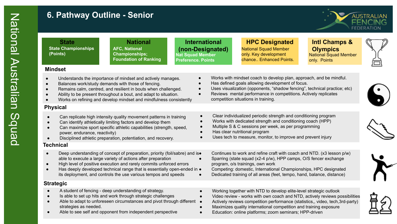# **6. Pathway Outline - Senior**



| <b>State</b><br><b>State Championships</b><br>(Points) | <b>National</b><br><b>AFC, National</b><br><b>Championships;</b><br><b>Foundation of Ranking</b>                                                                                                                                                                                                                                                                         | <b>International</b><br>(non-Designated)<br><b>Nat Squad Member</b><br><b>Preference. Points</b> | <b>HPC Designated</b><br><b>National Squad Member</b><br>only. Key development<br>chance Enhanced Points.                                                                                                                                                                                                                    | <b>Intl Champs &amp;</b><br><b>Olympics</b><br><b>National Squad Member</b><br>only. Points |  |
|--------------------------------------------------------|--------------------------------------------------------------------------------------------------------------------------------------------------------------------------------------------------------------------------------------------------------------------------------------------------------------------------------------------------------------------------|--------------------------------------------------------------------------------------------------|------------------------------------------------------------------------------------------------------------------------------------------------------------------------------------------------------------------------------------------------------------------------------------------------------------------------------|---------------------------------------------------------------------------------------------|--|
| <b>Mindset</b>                                         |                                                                                                                                                                                                                                                                                                                                                                          |                                                                                                  |                                                                                                                                                                                                                                                                                                                              |                                                                                             |  |
|                                                        | Understands the importance of mindset and actively manages.<br>Balances work/study demands with those of fencing.<br>Remains calm, centred, and resilient in bouts when challenged.<br>Ability to be present throughout a bout, and adapt to situation.<br>Works on refining and develop mindset and mindfulness consistently                                            |                                                                                                  | Works with mindset coach to develop plan, approach, and be mindful.<br>Has defined goals allowing development of focus.<br>Uses visualization (opponents, "shadow fencing", technical practice; etc)<br>Reviews mental performance in competitions. Actively replicates<br>competition situations in training.               |                                                                                             |  |
| <b>Physical</b>                                        |                                                                                                                                                                                                                                                                                                                                                                          |                                                                                                  |                                                                                                                                                                                                                                                                                                                              |                                                                                             |  |
| power, endurance, reactivity)                          | Can replicate high intensity quality movement patterns in training<br>Can identify athletically limiting factors and develop them<br>Can maximize sport specific athletic capabilities (strength, speed,<br>Disciplined athletic preparation, potentiation, and recovery.                                                                                                |                                                                                                  | Clear individualized periodic strength and conditioning program<br>Works with dedicated strength and conditioning coach (HPP)<br>Multiple S & C sessions per week, as per programming<br>Has clear nutritional program<br>Uses tech to measure, monitor, to improve and prevent injury                                       |                                                                                             |  |
| <b>Technical</b>                                       |                                                                                                                                                                                                                                                                                                                                                                          |                                                                                                  |                                                                                                                                                                                                                                                                                                                              |                                                                                             |  |
| $\bullet$                                              | Deep understanding of concept of preparation, priority (foil/sabre) and iso<br>able to execute a large variety of actions after preparation<br>High level of positive execution and rarely commits unforced errors<br>Has deeply developed technical range that is essentially open-ended in $\bullet$<br>its deployment, and controls the use various tempos and speeds | $\bullet$<br>$\bullet$                                                                           | Continues to work and refine craft with coach and NTD. (x3 lesson p/w)<br>Sparring (state squad (x2-4 p/w), HPP camps, O/S fencer exchange<br>program, o/s trainings, own work<br>Competing: domestic, International Championships, HPC designated<br>Dedicated training of all areas (feet, tempo, hand, balance, distance) |                                                                                             |  |
| <b>Strategic</b>                                       |                                                                                                                                                                                                                                                                                                                                                                          |                                                                                                  |                                                                                                                                                                                                                                                                                                                              |                                                                                             |  |
| strategies as needed.                                  | A student of fencing - deep understanding of strategy.<br>Is able to set up hits and work through strategic challenges<br>Able to adapt to unforeseen circumstances and pivot through different                                                                                                                                                                          |                                                                                                  | Working together with NTD to develop elite-level strategic outlook<br>Video review - works with own coach and NTD, actively reviews possibilities<br>Actively reviews competition performance (statistics, video, tech, 3rd-party)<br>Maximizes quality international competition and training exposure                      |                                                                                             |  |

- Able to see self and opponent from independent perspective
- Education: online platforms; zoom seminars; HPP-driven

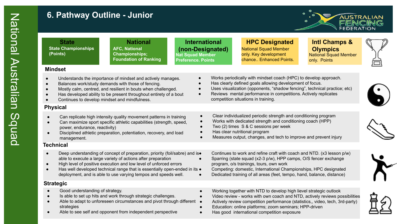# **6. Pathway Outline - Junior**

 $\bullet$ ó **AUSTRALIAN** FEN ۰ G **FEDERATION** 

| <b>State</b><br><b>State Championships</b><br>(Points)    | <b>National</b><br><b>AFC, National</b><br><b>Championships;</b><br><b>Foundation of Ranking</b>                                                                                                                                                                                                                                                                 | <b>International</b><br>(non-Designated)<br><b>Nat Squad Member</b><br><b>Preference, Points</b> | <b>HPC Designated</b><br><b>National Squad Member</b><br>only. Key development<br>chance Enhanced Points.                                                                                                                                                                                                                           | <b>Intl Champs &amp;</b><br><b>Olympics</b><br>National Squad Member<br>only. Points |
|-----------------------------------------------------------|------------------------------------------------------------------------------------------------------------------------------------------------------------------------------------------------------------------------------------------------------------------------------------------------------------------------------------------------------------------|--------------------------------------------------------------------------------------------------|-------------------------------------------------------------------------------------------------------------------------------------------------------------------------------------------------------------------------------------------------------------------------------------------------------------------------------------|--------------------------------------------------------------------------------------|
| <b>Mindset</b>                                            |                                                                                                                                                                                                                                                                                                                                                                  |                                                                                                  |                                                                                                                                                                                                                                                                                                                                     |                                                                                      |
|                                                           | Understands the importance of mindset and actively manages.<br>Balances work/study demands with those of fencing.<br>Mostly calm, centred, and resilient in bouts when challenged.<br>Has developed ability to be present throughout entirety of a bout<br>Continues to develop mindset and mindfulness.                                                         |                                                                                                  | Works periodically with mindset coach (HPC) to develop approach.<br>Has clearly defined goals allowing development of focus.<br>Uses visualization (opponents, "shadow fencing", technical practice; etc)<br>Reviews mental performance in competitions. Actively replicates<br>competition situations in training.                 |                                                                                      |
| <b>Physical</b>                                           |                                                                                                                                                                                                                                                                                                                                                                  |                                                                                                  |                                                                                                                                                                                                                                                                                                                                     |                                                                                      |
| $\bullet$<br>power, endurance, reactivity)<br>management. | Can replicate high intensity quality movement patterns in training<br>Can maximize sport specific athletic capabilities (strength, speed,<br>Disciplined athletic preparation, potentiation, recovery, and load                                                                                                                                                  | $\bullet$<br>$\bullet$                                                                           | Clear individualized periodic strength and conditioning program<br>Works with dedicated strength and conditioning coach (HPP)<br>Two (2) times S & C sessions per week<br>Has clear nutritional program<br>Measures output, changes, and tech to improve and prevent injury                                                         |                                                                                      |
| Technical                                                 |                                                                                                                                                                                                                                                                                                                                                                  |                                                                                                  |                                                                                                                                                                                                                                                                                                                                     |                                                                                      |
|                                                           | Deep understanding of concept of preparation, priority (foil/sabre) and iso<br>able to execute a large variety of actions after preparation<br>High level of positive execution and low level of unforced errors<br>Has well developed technical range that is essentially open-ended in its •<br>deployment, and is able to use varying tempos and speeds well. |                                                                                                  | Continues to work and refine craft with coach and NTD. (x3 lesson p/w)<br>Sparring (state squad (x2-3 p/w), HPP camps, O/S fencer exchange<br>program, o/s trainings, tours, own work<br>Competing: domestic, International Championships, HPC designated<br>Dedicated training of all areas (feet, tempo, hand, balance, distance) |                                                                                      |
| <b>Strategic</b>                                          |                                                                                                                                                                                                                                                                                                                                                                  |                                                                                                  |                                                                                                                                                                                                                                                                                                                                     |                                                                                      |
| Good understanding of strategy.<br>strategies             | Is able to set up hits and work through strategic challenges.<br>Able to adapt to unforeseen circumstances and pivot through different •                                                                                                                                                                                                                         |                                                                                                  | Working together with NTD to develop high lievel strategic outlook<br>Video review - works with own coach and NTD, actively reviews possibilities<br>Actively review competition performance (statistics, video, tech, 3rd-party)<br>Education: online platforms; zoom seminars; HPP-driven                                         |                                                                                      |

- Able to see self and opponent from independent perspective
- Has good international competition exposure

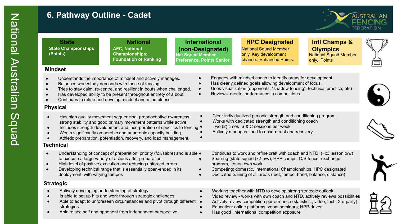#### **6. Pathway Outline - Cadet**



**State Championships (Points)**

**AFC, National Championships; Foundation of Ranking**

**State National <b>International (non-Designated) Nat Squad Member Preference. Points Senior**

●

**HPC Designated Intl Champs & National Squad Member** only. Key development chance.. Enhanced Points.

Engages with mindset coach to identify areas for development Has clearly defined goals allowing development of focus.

Uses visualization (opponents, "shadow fencing", technical practice; etc)

**Olympics** National Squad Member only. Points



#### **Mindset**

- Understands the importance of mindset and actively manages.
- Balances work/study demands with those of fencing.
- Tries to stay calm, re-centre, and resilient in bouts when challenged.
- Has developed ability to be present throughout entirety of a bout
- Continues to refine and develop mindset and mindfulness.

#### **Physical**

- Has high quality movement sequencing, proprioceptive awareness, strong stability and good primary movement patterns while active
- Includes strength development and incorporation of specifics to fencing
- Works significantly on aerobic and anaerobic capacity building
- Athletic preparation, potentiation, recovery, and load management.

#### **Technical**

- Understanding of concept of preparation, priority (foil/sabre) and is able  $\bullet$ to execute a large variety of actions after preparation
- High level of positive execution and reducing unforced errors
- Developing technical range that is essentially open-ended in its deployment, with varying tempos

#### **Strategic**

- Actively developing understanding of strategy.
- Is able to set up hits and work through strategic challenges.
- Able to adapt to unforeseen circumstances and pivot through different  $\bullet$ strategies
- Able to see self and opponent from independent perspective
- Clear individualized periodic strength and conditioning program
- Works with dedicated strength and conditioning coach
- Two (2) times S & C sessions per week
- Actively manages load to ensure rest and recovery.

Reviews mental performance in competitions.

- Continues to work and refine craft with coach and NTD. ( $-x3$  lesson p/w)
- Sparring (state squad (x2-p/w), HPP camps, O/S fencer exchange program, tours, own work
- Competing: domestic, International Championships, HPC designated
- Dedicated training of all areas (feet, tempo, hand, balance, distance)
- Working together with NTD to develop strong strategic outlook
- Video review works with own coach and NTD, actively reviews possibilities
- Actively review competition performance (statistics,, video, tech, 3rd-party)
- Education: online platforms; zoom seminars; HPP-driven
- Has good international competition exposure